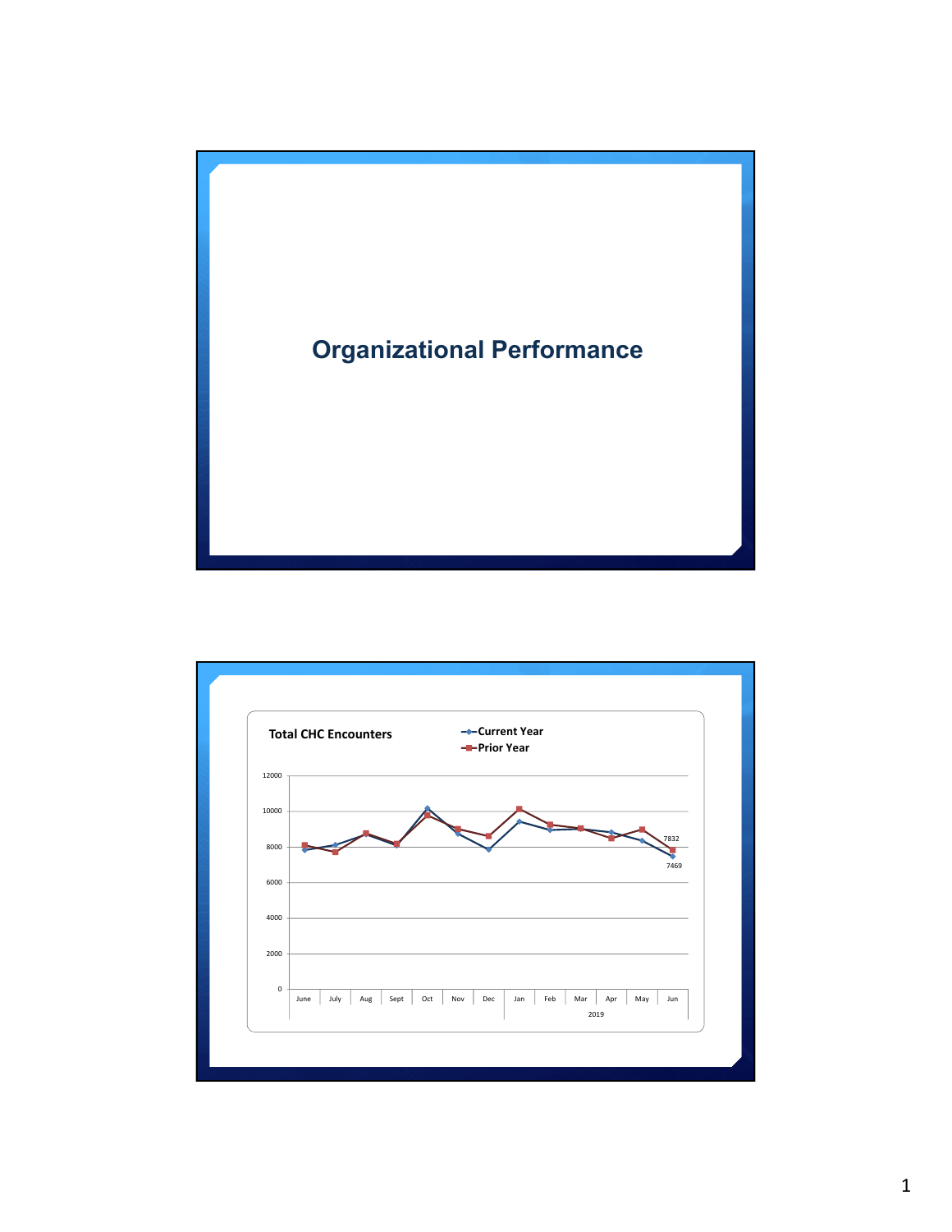

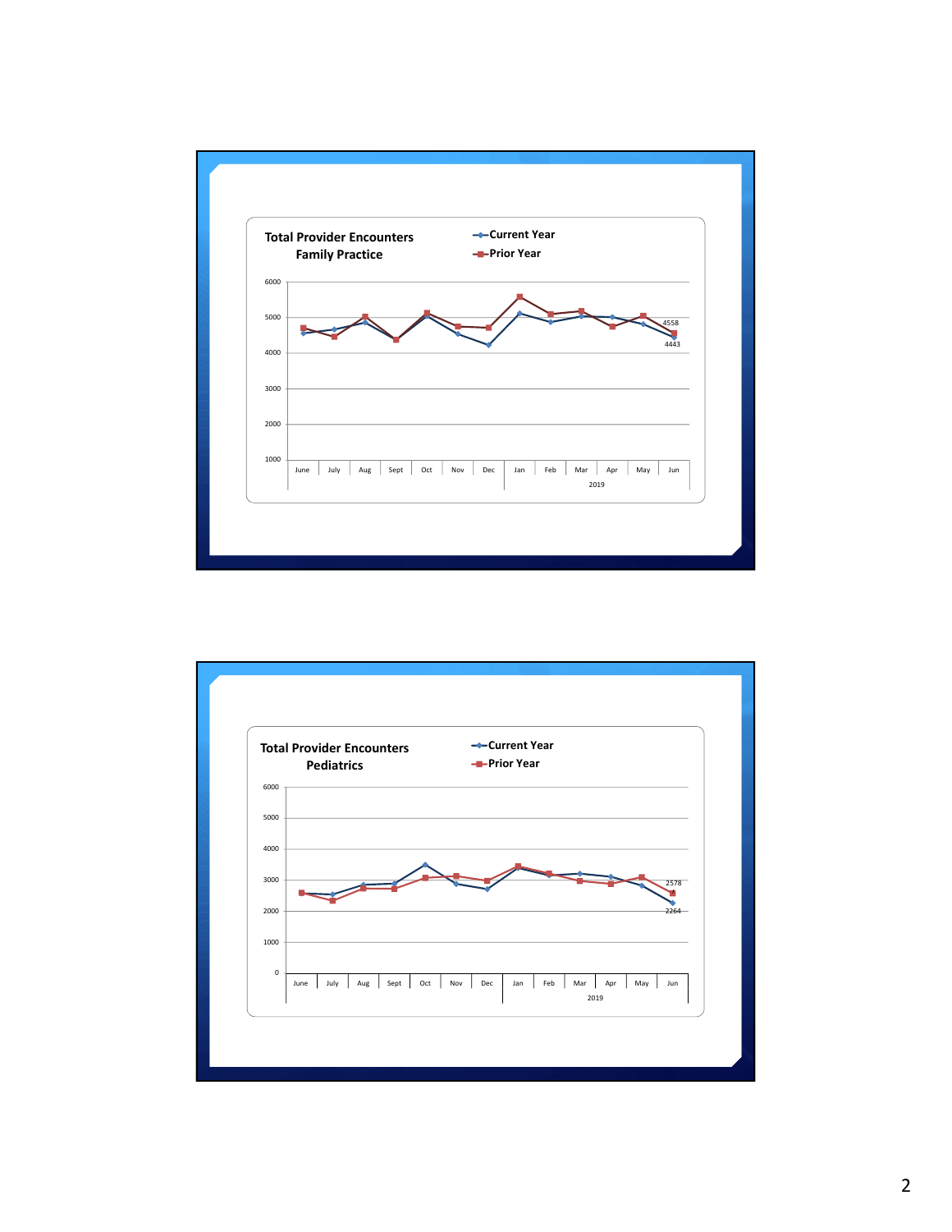

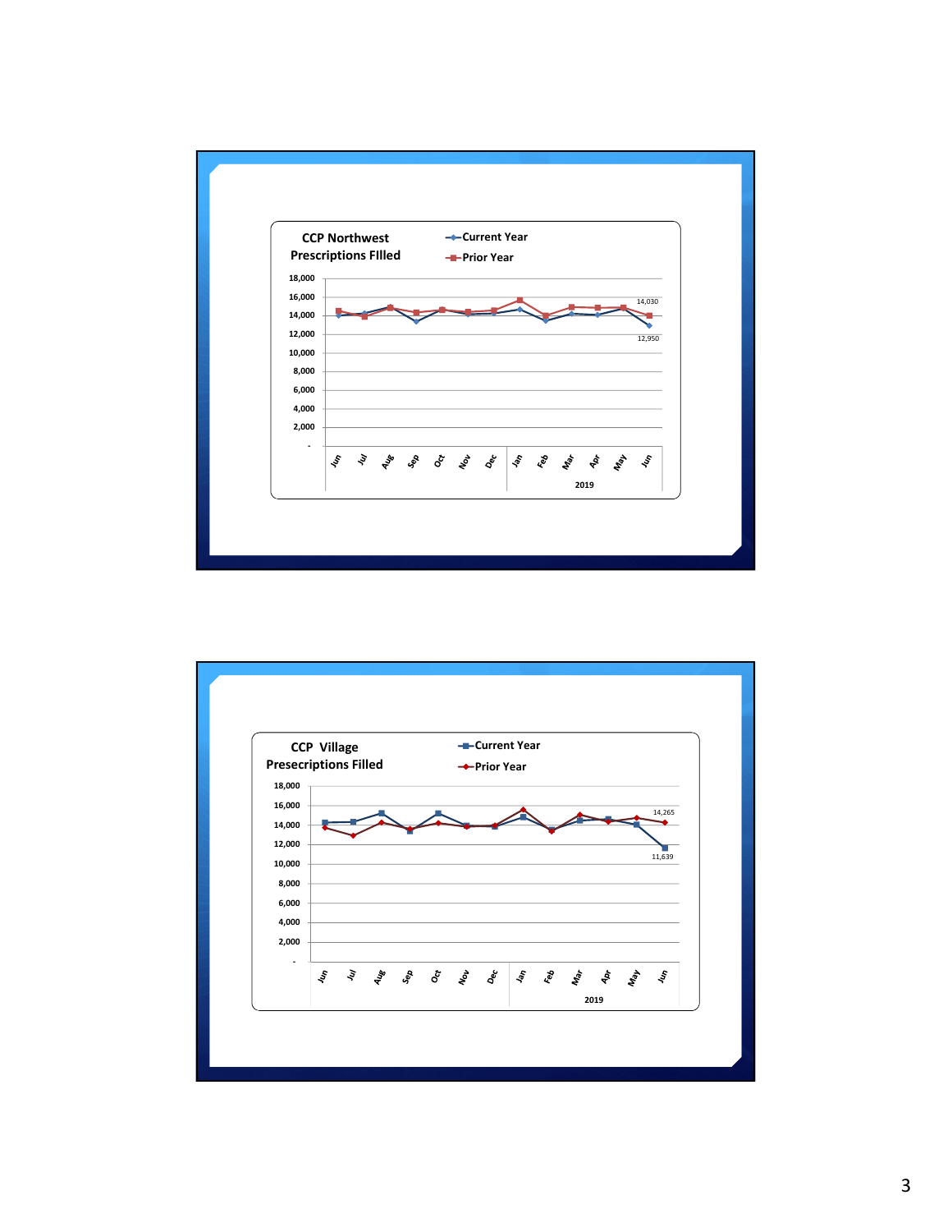

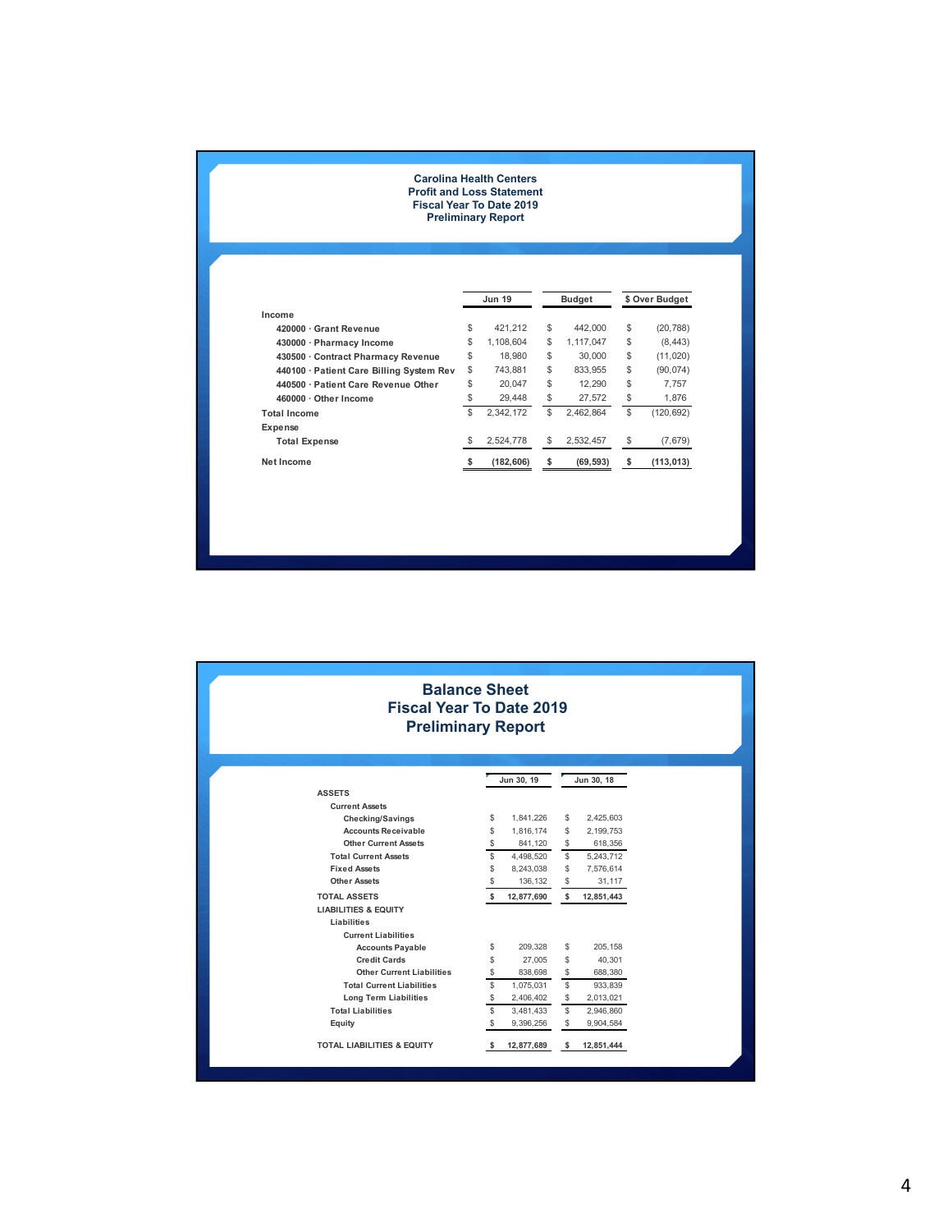## **Carolina Health Centers Profit and Loss Statement Fiscal Year To Date 2019 Preliminary Report**

|                                          |    | <b>Jun 19</b> | <b>Budget</b>   | \$ Over Budget |            |
|------------------------------------------|----|---------------|-----------------|----------------|------------|
| Income                                   |    |               |                 |                |            |
| 420000 · Grant Revenue                   | \$ | 421.212       | \$<br>442,000   | \$             | (20, 788)  |
| 430000 · Pharmacy Income                 | \$ | 1.108.604     | \$<br>1,117,047 | \$             | (8, 443)   |
| 430500 Contract Pharmacy Revenue         | \$ | 18,980        | \$<br>30,000    | \$             | (11, 020)  |
| 440100 · Patient Care Billing System Rev | \$ | 743.881       | \$<br>833.955   | \$             | (90, 074)  |
| 440500 · Patient Care Revenue Other      | \$ | 20.047        | \$<br>12.290    | \$             | 7.757      |
| 460000 · Other Income                    | \$ | 29,448        | \$<br>27,572    | \$             | 1,876      |
| <b>Total Income</b>                      | \$ | 2.342.172     | \$<br>2.462.864 | \$             | (120, 692) |
| Expense                                  |    |               |                 |                |            |
| <b>Total Expense</b>                     | \$ | 2.524.778     | \$<br>2.532.457 | \$             | (7,679)    |
| Net Income                               |    | (182, 606)    | \$<br>(69, 593) | s              | (113, 013) |

## **Balance Sheet Fiscal Year To Date 2019 Preliminary Report**

|                                       |    | Jun 30, 19 |    | Jun 30, 18  |  |
|---------------------------------------|----|------------|----|-------------|--|
| <b>ASSETS</b>                         |    |            |    |             |  |
| <b>Current Assets</b>                 |    |            |    |             |  |
| <b>Checking/Savings</b>               | \$ | 1,841,226  | \$ | 2,425,603   |  |
| <b>Accounts Receivable</b>            | \$ | 1,816,174  | \$ | 2, 199, 753 |  |
| <b>Other Current Assets</b>           | \$ | 841,120    | \$ | 618,356     |  |
| <b>Total Current Assets</b>           | \$ | 4,498,520  | \$ | 5,243,712   |  |
| <b>Fixed Assets</b>                   | \$ | 8,243,038  | \$ | 7,576,614   |  |
| <b>Other Assets</b>                   | \$ | 136,132    | \$ | 31,117      |  |
| <b>TOTAL ASSETS</b>                   | \$ | 12,877,690 | \$ | 12,851,443  |  |
| <b>LIABILITIES &amp; EQUITY</b>       |    |            |    |             |  |
| Liabilities                           |    |            |    |             |  |
| <b>Current Liabilities</b>            |    |            |    |             |  |
| <b>Accounts Payable</b>               | \$ | 209.328    | \$ | 205.158     |  |
| <b>Credit Cards</b>                   | \$ | 27,005     | \$ | 40,301      |  |
| <b>Other Current Liabilities</b>      | \$ | 838.698    | \$ | 688.380     |  |
| <b>Total Current Liabilities</b>      | \$ | 1,075,031  | \$ | 933,839     |  |
| Long Term Liabilities                 | \$ | 2,406,402  | \$ | 2,013,021   |  |
| <b>Total Liabilities</b>              | \$ | 3,481,433  | \$ | 2,946,860   |  |
| Equity                                | \$ | 9,396,256  | \$ | 9,904,584   |  |
| <b>TOTAL LIABILITIES &amp; EQUITY</b> | \$ | 12,877,689 | \$ | 12,851,444  |  |